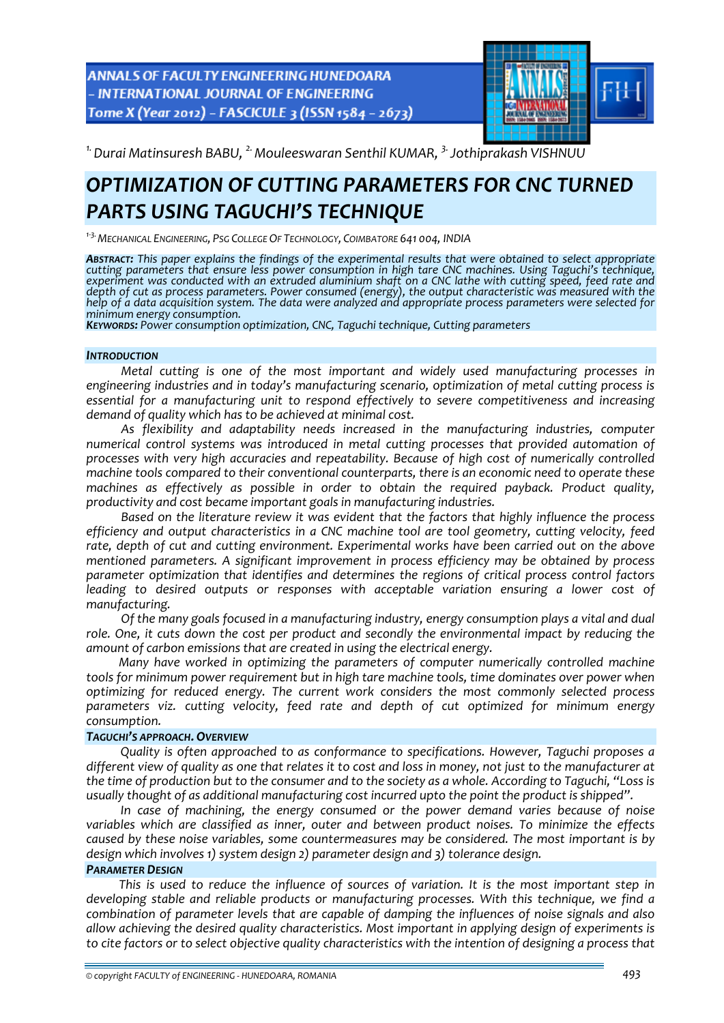ANNALS OF FACULTY ENGINEERING HUNEDOARA - INTERNATIONAL JOURNAL OF ENGINEERING Tome X (Year 2012) - FASCICULE 3 (ISSN 1584 - 2673)



*1.Durai Matinsuresh BABU, 2.Mouleeswaran Senthil KUMAR, 3.Jothiprakash VISHNUU* 

# *OPTIMIZATION OF CUTTING PARAMETERS FOR CNC TURNED PARTS USING TAGUCHI'S TECHNIQUE*

*<sup>1</sup>‐3.MECHANICAL ENGINEERING, PSG COLLEGE OF TECHNOLOGY, COIMBATORE 641 004, INDIA*

*ABSTRACT: This paper explains the findings of the experimental results that were obtained to select appropriate cutting parameters that ensure less power consumption in high tare CNC machines. Using Taguchi's technique,* experiment was conducted with an extruded aluminium shaft on a CNC lathe with cutting speed, feed rate and *depth of cut as process parameters. Power consumed (energy), the output characteristic was measured with the* help of a data acquisition system. The data were analyzed and appropriate process parameters were selected for *minimum energy consumption. KEYWORDS: Power consumption optimization, CNC, Taguchi technique, Cutting parameters*

#### *INTRODUCTION*

*Metal cutting is one of the most important and widely used manufacturing processes in engineering industries and in today's manufacturing scenario, optimization of metal cutting process is essential for a manufacturing unit to respond effectively to severe competitiveness and increasing demand of quality which has to be achieved at minimal cost.*

*As flexibility and adaptability needs increased in the manufacturing industries, computer numerical control systems was introduced in metal cutting processes that provided automation of processes with very high accuracies and repeatability. Because of high cost of numerically controlled machine tools compared to their conventional counterparts, there is an economic need to operate these machines as effectively as possible in order to obtain the required payback. Product quality, productivity and cost became important goals in manufacturing industries.*

*Based on the literature review it was evident that the factors that highly influence the process efficiency and output characteristics in a CNC machine tool are tool geometry, cutting velocity, feed rate, depth of cut and cutting environment. Experimental works have been carried out on the above mentioned parameters. A significant improvement in process efficiency may be obtained by process parameter optimization that identifies and determines the regions of critical process control factors leading to desired outputs or responses with acceptable variation ensuring a lower cost of manufacturing.*

*Of the many goals focused in a manufacturing industry, energy consumption plays a vital and dual role. One, it cuts down the cost per product and secondly the environmental impact by reducing the amount of carbon emissions that are created in using the electrical energy.*

*Many have worked in optimizing the parameters of computer numerically controlled machine tools for minimum power requirement but in high tare machine tools, time dominates over power when optimizing for reduced energy. The current work considers the most commonly selected process parameters viz. cutting velocity, feed rate and depth of cut optimized for minimum energy consumption.*

### *TAGUCHI'S APPROACH. OVERVIEW*

*Quality is often approached to as conformance to specifications. However, Taguchi proposes a* different view of quality as one that relates it to cost and loss in money, not just to the manufacturer at the time of production but to the consumer and to the society as a whole. According to Taguchi, "Loss is *usually thought of as additional manufacturing cost incurred upto the point the product is shipped".*

*In case of machining, the energy consumed or the power demand varies because of noise variables which are classified as inner, outer and between product noises. To minimize the effects caused by these noise variables, some countermeasures may be considered. The most important is by design which involves 1) system design 2) parameter design and 3) tolerance design.*

### *PARAMETER DESIGN*

*This is used to reduce the influence of sources of variation. It is the most important step in developing stable and reliable products or manufacturing processes. With this technique, we find a combination of parameter levels that are capable of damping the influences of noise signals and also allow achieving the desired quality characteristics. Most important in applying design of experiments is* to cite factors or to select objective quality characteristics with the intention of designing a process that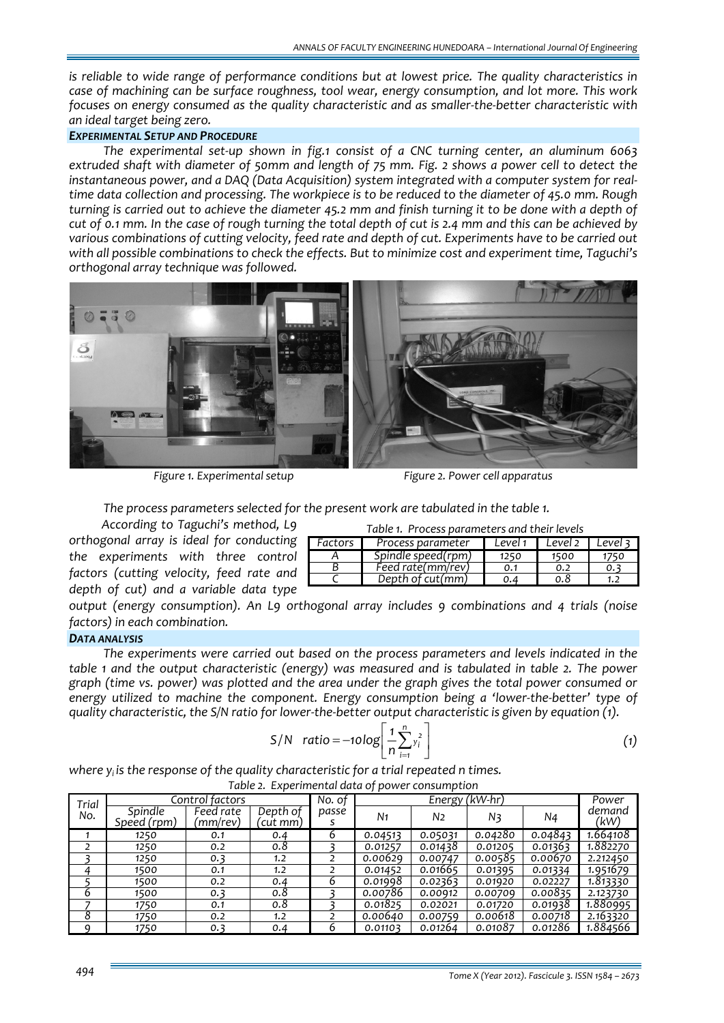*is reliable to wide range of performance conditions but at lowest price. The quality characteristics in case of machining can be surface roughness, tool wear, energy consumption, and lot more. This work focuses on energy consumed as the quality characteristic and as smaller‐the‐better characteristic with an ideal target being zero.*

## *EXPERIMENTAL SETUP AND PROCEDURE*

*The experimental set‐up shown in fig.1 consist of a CNC turning center, an aluminum 6063* extruded shaft with diameter of 50mm and length of 75 mm. Fig. 2 shows a power cell to detect the *instantaneous power, and a DAQ (Data Acquisition) system integrated with a computer system for real‐* time data collection and processing. The workpiece is to be reduced to the diameter of 45.0 mm. Rough turning is carried out to achieve the diameter 45.2 mm and finish turning it to be done with a depth of cut of 0.1 mm. In the case of rough turning the total depth of cut is 2.4 mm and this can be achieved by *various combinations of cutting velocity, feed rate and depth of cut. Experiments have to be carried out with all possible combinations to check the effects. But to minimize cost and experiment time, Taguchi's orthogonal array technique was followed.*



 *Figure 1. Experimental setup Figure 2. Power cell apparatus*

*The process parameters selected for the present work are tabulated in the table 1.*

*According to Taguchi's method, L9 orthogonal array is ideal for conducting the experiments with three control factors (cutting velocity, feed rate and depth of cut) and a variable data type*

| Table 1. Process parameters and their levels |                    |             |           |         |  |  |  |  |
|----------------------------------------------|--------------------|-------------|-----------|---------|--|--|--|--|
| Factors <b>I</b>                             | Process parameter  | Level 1   I | Level 2 1 | Level 3 |  |  |  |  |
|                                              | Spindle speed(rpm) | 1250        | 1500      |         |  |  |  |  |
|                                              | Feed rate(mm/rev)  | 0.1         | 0.2       | 0.3     |  |  |  |  |
|                                              | Depth of cut(mm)   | 0.4         | ი.გ       | 1.)     |  |  |  |  |
|                                              |                    |             |           |         |  |  |  |  |

*output (energy consumption). An L9 orthogonal array includes 9 combinations and 4 trials (noise factors) in each combination.*

# *DATA ANALYSIS*

*The experiments were carried out based on the process parameters and levels indicated in the table 1 and the output characteristic (energy) was measured and is tabulated in table 2. The power graph (time vs. power) was plotted and the area under the graph gives the total power consumed or energy utilized to machine the component. Energy consumption being a 'lower‐the‐better' type of* quality characteristic, the S/N ratio for lower-the-better output characteristic is given by equation  $(i)$ .

$$
S/N \quad \text{ratio} = -10 \log \left[ \frac{1}{n} \sum_{i=1}^{n} y_i^2 \right] \tag{1}
$$

*where yi is the response of the quality characteristic for a trial repeated n times. Table 2. Experimental data of power consumption*

| Trial | Control factors        |                       |                      | No. of | Energy (kW-hr) |                |                |         | Power          |
|-------|------------------------|-----------------------|----------------------|--------|----------------|----------------|----------------|---------|----------------|
| No.   | Spindle<br>Speed (rpm) | Feed rate<br>(mm/rev) | Depth of<br>'cut mm) | passe  | N <sub>1</sub> | N <sub>2</sub> | N <sub>3</sub> | N4      | demand<br>(kW) |
|       | 1250                   | O.1                   | 0.4                  | ь      | 0.04513        | 0.05031        | 0.04280        | 0.04843 | 1.664108       |
|       | 1250                   | 0.2                   | 0.8                  |        | 0.01257        | 0.01438        | 0.01205        | 0.01363 | 1.882270       |
|       | 1250                   | 0.3                   | 1.2                  |        | 0.00629        | 0.00747        | 0.00585        | 0.00670 | 2.212450       |
|       | 1500                   | 0.1                   | 1.2                  |        | 0.01452        | 0.01665        | 0.01395        | 0.01334 | 1.951679       |
|       | 1500                   | 0.2                   | 0.4                  | b      | 0.01998        | 0.02363        | 0.01920        | 0.02227 | 1.813330       |
| 6     | 1500                   | 0.3                   | 0.8                  |        | 0.00786        | 0.00912        | 0.00709        | 0.00835 | 2.123730       |
|       | 1750                   | 0.1                   | 0.8                  |        | 0.01825        | 0.02021        | 0.01720        | 0.01938 | 1.880995       |
| 8     | 1750                   | 0.2                   | 1.2                  |        | 0.00640        | 0.00759        | 0.00618        | 0.00718 | 2.163320       |
| a     | 1750                   | 0.3                   | 0.4                  | ь      | 0.01103        | 0.01264        | 0.01087        | 0.01286 | 1.884566       |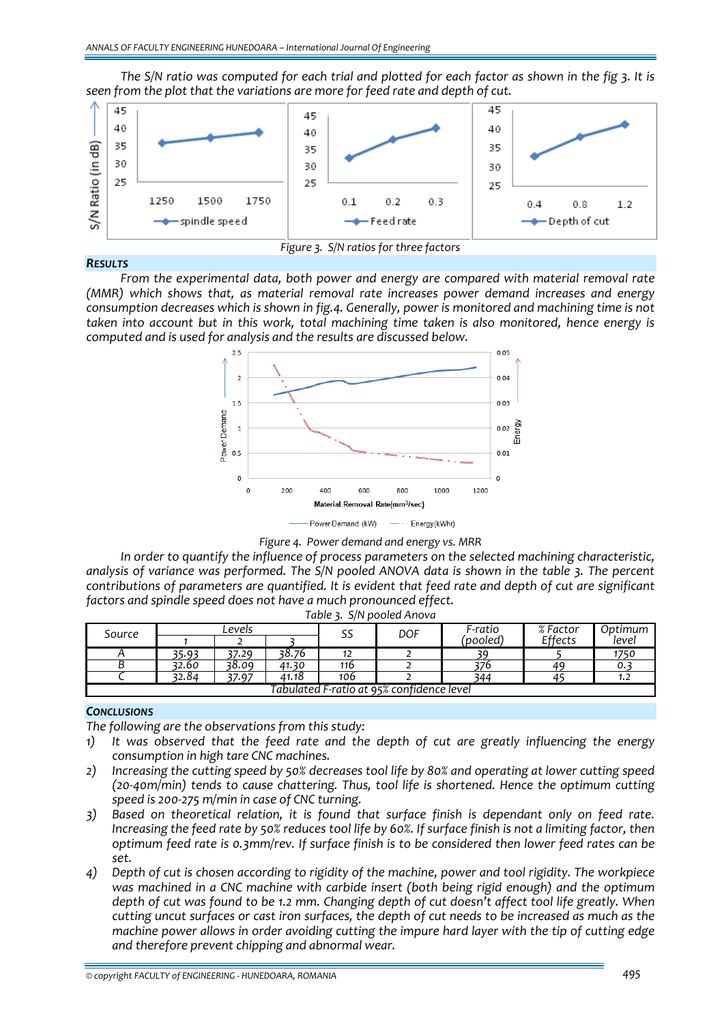The S/N ratio was computed for each trial and plotted for each factor as shown in the fig 3. It is *seen from the plot that the variations are more for feed rate and depth of cut.*



## *RESULTS*

*Figure 3. S/N ratios for three factors*

*From the experimental data, both power and energy are compared with material removal rate (MMR) which shows that, as material removal rate increases power demand increases and energy consumption decreases which is shown in fig.4. Generally, power is monitored and machining time is not taken into account but in this work, total machining time taken is also monitored, hence energy is computed and is used for analysis and the results are discussed below.*



*Figure 4. Power demand and energy vs. MRR*

*In order to quantify the influence of process parameters on the selected machining characteristic, analysis of variance was performed. The S/N pooled ANOVA data is shown in the table 3. The percent contributions of parameters are quantified. It is evident that feed rate and depth of cut are significant factors and spindle speed does not have a much pronounced effect.*

| Source                                    | Levels |       |       | --<br>55 | <b>DOF</b> | F-ratio | % Factor | Optimum |
|-------------------------------------------|--------|-------|-------|----------|------------|---------|----------|---------|
|                                           |        |       |       |          |            | 'pooled | Effects  | level   |
|                                           | 35.93  | 37.29 | 38.76 | 12       |            |         |          | 1750    |
| ◡                                         | 32.60  | 38.09 | 41.30 | 116      |            |         | 49       | ο.      |
|                                           | 32.84  | 37.97 | 41.18 | 106      | -          | 344     |          | ے ، ا   |
| Tabulated F-ratio at 95% confidence level |        |       |       |          |            |         |          |         |

### *Table 3. S/N pooled Anova*

# *CONCLUSIONS*

*The following are the observations from this study:*

- *1) It was observed that the feed rate and the depth of cut are greatly influencing the energy consumption in high tare CNC machines.*
- 2) Increasing the cutting speed by 50% decreases tool life by 80% and operating at lower cutting speed *(20‐40m/min) tends to cause chattering. Thus, tool life is shortened. Hence the optimum cutting speed is 200‐275 m/min in case of CNC turning.*
- *3) Based on theoretical relation, it is found that surface finish is dependant only on feed rate.* Increasing the feed rate by 50% reduces tool life by 60%. If surface finish is not a limiting factor, then *optimum feed rate is 0.3mm/rev. If surface finish is to be considered then lower feed rates can be set.*
- 4) Depth of cut is chosen according to rigidity of the machine, power and tool rigidity. The workpiece *was machined in a CNC machine with carbide insert (both being rigid enough) and the optimum* depth of cut was found to be 1.2 mm. Changing depth of cut doesn't affect tool life greatly. When cutting uncut surfaces or cast iron surfaces, the depth of cut needs to be increased as much as the *machine power allows in order avoiding cutting the impure hard layer with the tip of cutting edge and therefore prevent chipping and abnormal wear.*